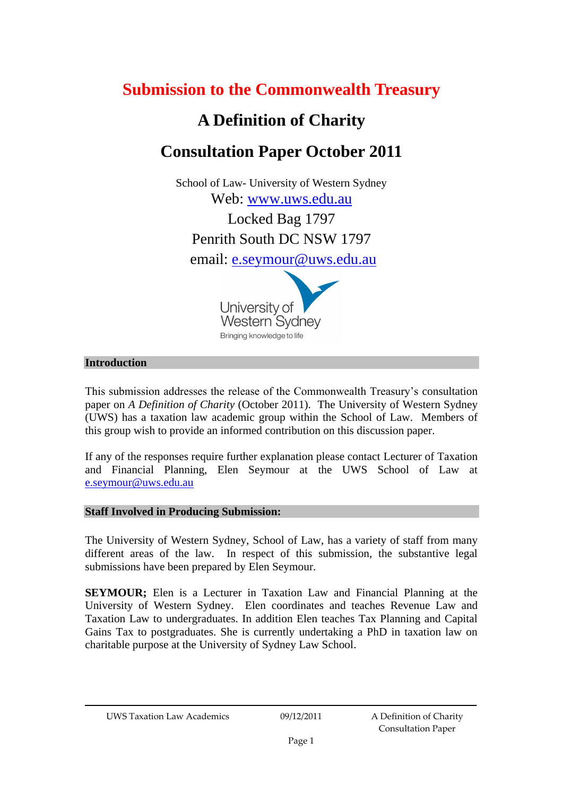# **Submission to the Commonwealth Treasury**

# **A Definition of Charity**

# **Consultation Paper October 2011**

School of Law- University of Western Sydney Web: [www.uws.edu.au](http://www.uws.edu.au/)

Locked Bag 1797 Penrith South DC NSW 1797

email: [e.seymour@uws.edu.au](mailto:e.seymour@uws.edu.au)



# **Introduction**

This submission addresses the release of the Commonwealth Treasury's consultation paper on *A Definition of Charity* (October 2011). The University of Western Sydney (UWS) has a taxation law academic group within the School of Law. Members of this group wish to provide an informed contribution on this discussion paper.

If any of the responses require further explanation please contact Lecturer of Taxation and Financial Planning, Elen Seymour at the UWS School of Law at [e.seymour@uws.edu.au](mailto:e.seymour@uws.edu.au)

### **Staff Involved in Producing Submission:**

The University of Western Sydney, School of Law, has a variety of staff from many different areas of the law. In respect of this submission, the substantive legal submissions have been prepared by Elen Seymour.

**SEYMOUR;** Elen is a Lecturer in Taxation Law and Financial Planning at the University of Western Sydney. Elen coordinates and teaches Revenue Law and Taxation Law to undergraduates. In addition Elen teaches Tax Planning and Capital Gains Tax to postgraduates. She is currently undertaking a PhD in taxation law on charitable purpose at the University of Sydney Law School.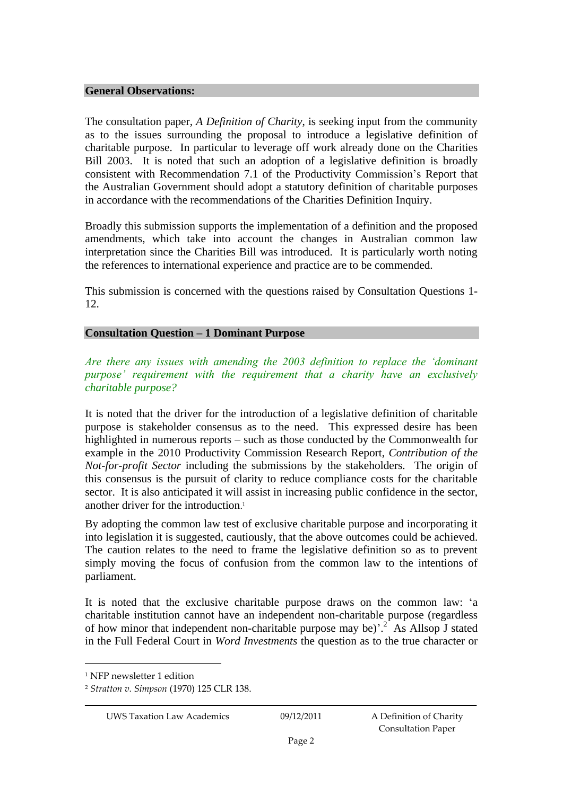#### **General Observations:**

The consultation paper, *A Definition of Charity*, is seeking input from the community as to the issues surrounding the proposal to introduce a legislative definition of charitable purpose. In particular to leverage off work already done on the Charities Bill 2003. It is noted that such an adoption of a legislative definition is broadly consistent with Recommendation 7.1 of the Productivity Commission's Report that the Australian Government should adopt a statutory definition of charitable purposes in accordance with the recommendations of the Charities Definition Inquiry.

Broadly this submission supports the implementation of a definition and the proposed amendments, which take into account the changes in Australian common law interpretation since the Charities Bill was introduced. It is particularly worth noting the references to international experience and practice are to be commended.

This submission is concerned with the questions raised by Consultation Questions 1- 12.

#### **Consultation Question – 1 Dominant Purpose**

*Are there any issues with amending the 2003 definition to replace the 'dominant purpose' requirement with the requirement that a charity have an exclusively charitable purpose?* 

It is noted that the driver for the introduction of a legislative definition of charitable purpose is stakeholder consensus as to the need. This expressed desire has been highlighted in numerous reports – such as those conducted by the Commonwealth for example in the 2010 Productivity Commission Research Report, *Contribution of the Not-for-profit Sector* including the submissions by the stakeholders. The origin of this consensus is the pursuit of clarity to reduce compliance costs for the charitable sector. It is also anticipated it will assist in increasing public confidence in the sector, another driver for the introduction. 1

By adopting the common law test of exclusive charitable purpose and incorporating it into legislation it is suggested, cautiously, that the above outcomes could be achieved. The caution relates to the need to frame the legislative definition so as to prevent simply moving the focus of confusion from the common law to the intentions of parliament.

It is noted that the exclusive charitable purpose draws on the common law: 'a charitable institution cannot have an independent non-charitable purpose (regardless of how minor that independent non-charitable purpose may be)<sup>2</sup> As Allsop J stated in the Full Federal Court in *Word Investments* the question as to the true character or

<sup>&</sup>lt;sup>1</sup> NFP newsletter 1 edition

<sup>2</sup> *Stratton v. Simpson* (1970) 125 CLR 138.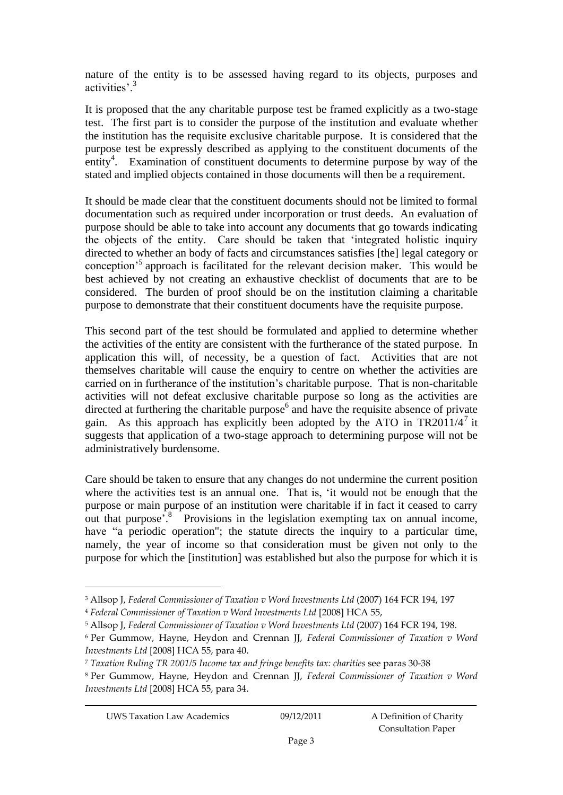nature of the entity is to be assessed having regard to its objects, purposes and activities'.<sup>3</sup>

It is proposed that the any charitable purpose test be framed explicitly as a two-stage test. The first part is to consider the purpose of the institution and evaluate whether the institution has the requisite exclusive charitable purpose. It is considered that the purpose test be expressly described as applying to the constituent documents of the entity<sup>4</sup>. Examination of constituent documents to determine purpose by way of the stated and implied objects contained in those documents will then be a requirement.

It should be made clear that the constituent documents should not be limited to formal documentation such as required under incorporation or trust deeds. An evaluation of purpose should be able to take into account any documents that go towards indicating the objects of the entity. Care should be taken that 'integrated holistic inquiry directed to whether an body of facts and circumstances satisfies [the] legal category or conception'<sup>5</sup> approach is facilitated for the relevant decision maker. This would be best achieved by not creating an exhaustive checklist of documents that are to be considered. The burden of proof should be on the institution claiming a charitable purpose to demonstrate that their constituent documents have the requisite purpose.

This second part of the test should be formulated and applied to determine whether the activities of the entity are consistent with the furtherance of the stated purpose. In application this will, of necessity, be a question of fact. Activities that are not themselves charitable will cause the enquiry to centre on whether the activities are carried on in furtherance of the institution's charitable purpose. That is non-charitable activities will not defeat exclusive charitable purpose so long as the activities are directed at furthering the charitable purpose $<sup>6</sup>$  and have the requisite absence of private</sup> gain. As this approach has explicitly been adopted by the ATO in TR2011/4<sup>7</sup> it suggests that application of a two-stage approach to determining purpose will not be administratively burdensome.

Care should be taken to ensure that any changes do not undermine the current position where the activities test is an annual one. That is, 'it would not be enough that the purpose or main purpose of an institution were charitable if in fact it ceased to carry out that purpose<sup> $3$ </sup>.<sup>8</sup> Provisions in the legislation exempting tax on annual income, have "a periodic operation"; the statute directs the inquiry to a particular time, namely, the year of income so that consideration must be given not only to the purpose for which the [institution] was established but also the purpose for which it is

<sup>3</sup> Allsop J, *Federal Commissioner of Taxation v Word Investments Ltd* (2007) 164 FCR 194, 197

<sup>4</sup> *Federal Commissioner of Taxation v Word Investments Ltd* [2008] HCA 55,

<sup>5</sup> Allsop J, *Federal Commissioner of Taxation v Word Investments Ltd* (2007) 164 FCR 194, 198.

<sup>6</sup> Per Gummow, Hayne, Heydon and Crennan JJ, *Federal Commissioner of Taxation v Word Investments Ltd* [2008] HCA 55, para 40.

<sup>7</sup> *Taxation Ruling TR 2001/5 Income tax and fringe benefits tax: charities* see paras 30-38

<sup>8</sup> Per Gummow, Hayne, Heydon and Crennan JJ, *Federal Commissioner of Taxation v Word Investments Ltd* [2008] HCA 55, para 34.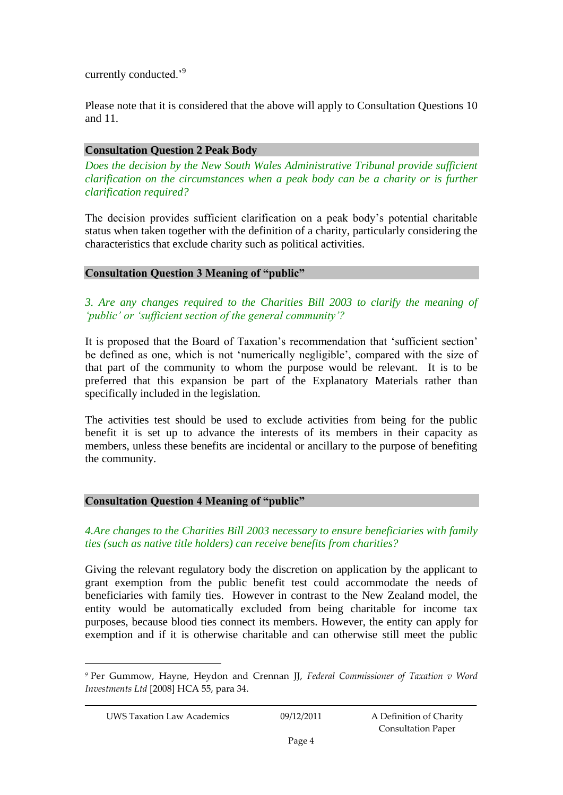currently conducted.'<sup>9</sup>

Please note that it is considered that the above will apply to Consultation Questions 10 and 11.

## **Consultation Question 2 Peak Body**

*Does the decision by the New South Wales Administrative Tribunal provide sufficient clarification on the circumstances when a peak body can be a charity or is further clarification required?* 

The decision provides sufficient clarification on a peak body's potential charitable status when taken together with the definition of a charity, particularly considering the characteristics that exclude charity such as political activities.

# **Consultation Question 3 Meaning of "public"**

*3. Are any changes required to the Charities Bill 2003 to clarify the meaning of 'public' or 'sufficient section of the general community'?* 

It is proposed that the Board of Taxation's recommendation that 'sufficient section' be defined as one, which is not 'numerically negligible', compared with the size of that part of the community to whom the purpose would be relevant. It is to be preferred that this expansion be part of the Explanatory Materials rather than specifically included in the legislation.

The activities test should be used to exclude activities from being for the public benefit it is set up to advance the interests of its members in their capacity as members, unless these benefits are incidental or ancillary to the purpose of benefiting the community.

# **Consultation Question 4 Meaning of "public"**

# *4.Are changes to the Charities Bill 2003 necessary to ensure beneficiaries with family ties (such as native title holders) can receive benefits from charities?*

Giving the relevant regulatory body the discretion on application by the applicant to grant exemption from the public benefit test could accommodate the needs of beneficiaries with family ties. However in contrast to the New Zealand model, the entity would be automatically excluded from being charitable for income tax purposes, because blood ties connect its members. However, the entity can apply for exemption and if it is otherwise charitable and can otherwise still meet the public

*<sup>9</sup>* Per Gummow, Hayne, Heydon and Crennan JJ, *Federal Commissioner of Taxation v Word Investments Ltd* [2008] HCA 55, para 34.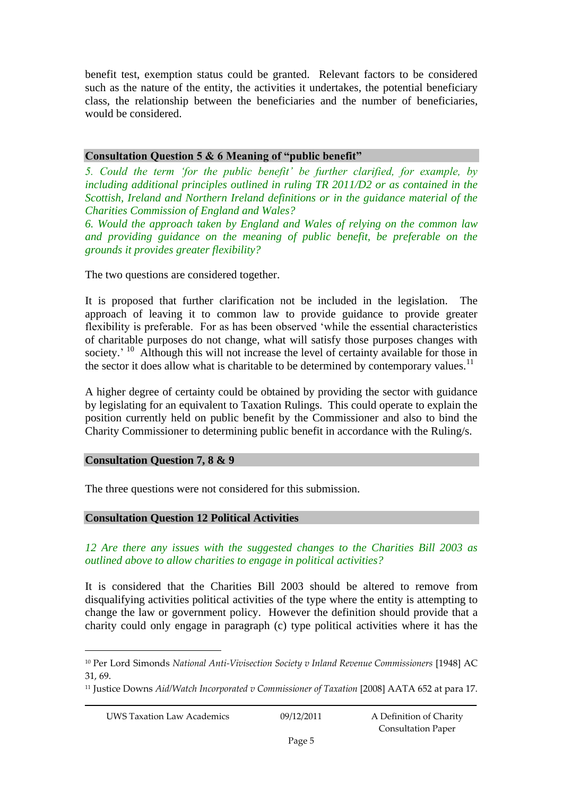benefit test, exemption status could be granted. Relevant factors to be considered such as the nature of the entity, the activities it undertakes, the potential beneficiary class, the relationship between the beneficiaries and the number of beneficiaries, would be considered.

## **Consultation Question 5 & 6 Meaning of "public benefit"**

*5. Could the term 'for the public benefit' be further clarified, for example, by including additional principles outlined in ruling TR 2011/D2 or as contained in the Scottish, Ireland and Northern Ireland definitions or in the guidance material of the Charities Commission of England and Wales?* 

*6. Would the approach taken by England and Wales of relying on the common law*  and providing guidance on the meaning of public benefit, be preferable on the *grounds it provides greater flexibility?* 

The two questions are considered together.

It is proposed that further clarification not be included in the legislation. The approach of leaving it to common law to provide guidance to provide greater flexibility is preferable. For as has been observed 'while the essential characteristics of charitable purposes do not change, what will satisfy those purposes changes with society.' <sup>10</sup> Although this will not increase the level of certainty available for those in the sector it does allow what is charitable to be determined by contemporary values.<sup>11</sup>

A higher degree of certainty could be obtained by providing the sector with guidance by legislating for an equivalent to Taxation Rulings. This could operate to explain the position currently held on public benefit by the Commissioner and also to bind the Charity Commissioner to determining public benefit in accordance with the Ruling/s.

### **Consultation Question 7, 8 & 9**

The three questions were not considered for this submission.

### **Consultation Question 12 Political Activities**

*12 Are there any issues with the suggested changes to the Charities Bill 2003 as outlined above to allow charities to engage in political activities?* 

It is considered that the Charities Bill 2003 should be altered to remove from disqualifying activities political activities of the type where the entity is attempting to change the law or government policy. However the definition should provide that a charity could only engage in paragraph (c) type political activities where it has the

<sup>10</sup> Per Lord Simonds *National Anti-Vivisection Society v Inland Revenue Commissioners* [1948] AC 31, 69.

<sup>11</sup> Justice Downs *Aid/Watch Incorporated v Commissioner of Taxation* [2008] AATA 652 at para 17.